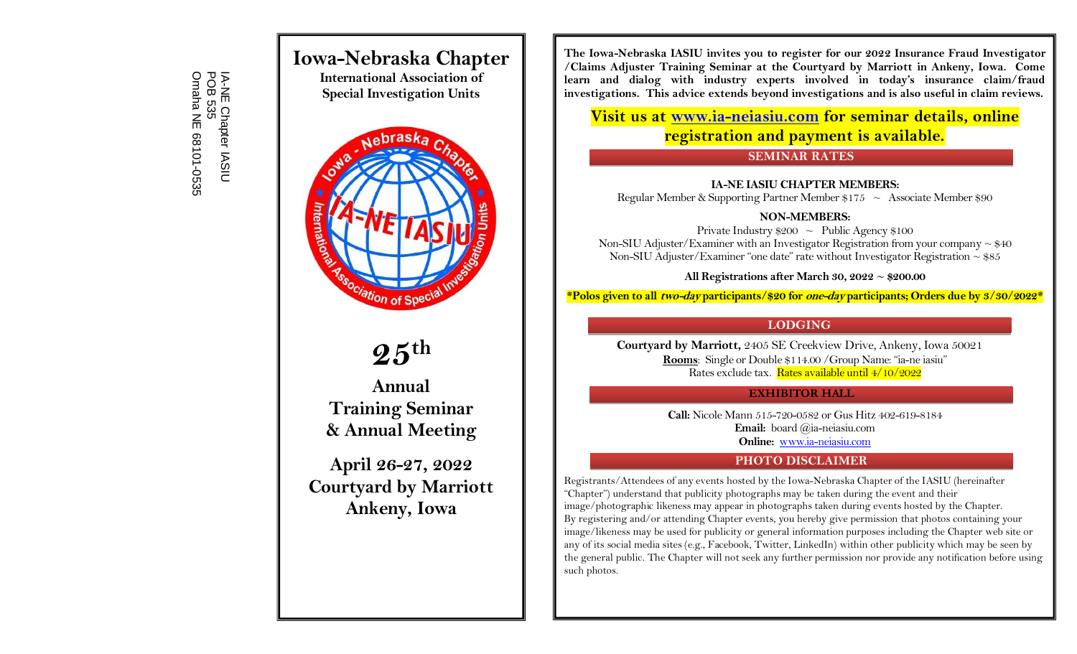IA-NE Chapter IASIU Omaha NE 68101 POB 535 IA-NE Chapter IASIU<br>POB 535<br>Omaha NE 68101-0535

# **Iowa-Nebraska Chapter**

**International Association of Special Investigation Units**



# **25 th**

**Annual Training Seminar & Annual Meeting**

**April 26-27, 2022 Courtyard by Marriott Ankeny, Iowa**

**The Iowa-Nebraska IASIU invites you to register for our 2022 Insurance Fraud Investigator /Claims Adjuster Training Seminar at the Courtyard by Marriott in Ankeny, Iowa. Come learn and dialog with industry experts involved in today's insurance claim/fraud investigations. This advice extends beyond investigations and is also useful in claim reviews.**

**Visit us at [www.ia-neiasiu.com](http://www.ia-neiasiu.com/) for seminar details, online registration and payment is available.**

#### **SEMINAR RATES**

#### **IA-NE IASIU CHAPTER MEMBERS:**

Regular Member & Supporting Partner Member  $$175 \sim$  Associate Member \$90

#### **NON-MEMBERS:**

Private Industry  $$200 \sim \text{Public Agency } $100$ Non-SIU Adjuster/Examiner with an Investigator Registration from your company  $\sim$  \$40 Non-SIU Adjuster/Examiner "one date" rate without Investigator Registration  $\sim$  \$85

#### **All Registrations after March 30, 2022 ~ \$200.00**

**\*Polos given to all two-day participants/\$20 for one-day participants; Orders due by 3/30/2022\***

#### **LODGING**

**Courtyard by Marriott,** 2405 SE Creekview Drive, Ankeny, Iowa 50021 **Rooms**: Single or Double \$114.00 /Group Name: "ia-ne iasiu" Rates exclude tax. Rates available until 4/10/2022

#### **EXHIBITOR HALL**

**Call:** Nicole Mann 515-720-0582 or Gus Hitz 402-619-8184 **Email:** board @ia-neiasiu.com **Online:** [www.ia-neiasiu.com](http://www.ia-neiasiu.com/training.html)

#### **PHOTO DISCLAIMER**

Registrants/Attendees of any events hosted by the Iowa-Nebraska Chapter of the IASIU (hereinafter "Chapter") understand that publicity photographs may be taken during the event and their image/photographic likeness may appear in photographs taken during events hosted by the Chapter. By registering and/or attending Chapter events, you hereby give permission that photos containing your image/likeness may be used for publicity or general information purposes including the Chapter web site or any of its social media sites (e.g., Facebook, Twitter, LinkedIn) within other publicity which may be seen by the general public. The Chapter will not seek any further permission nor provide any notification before using such photos.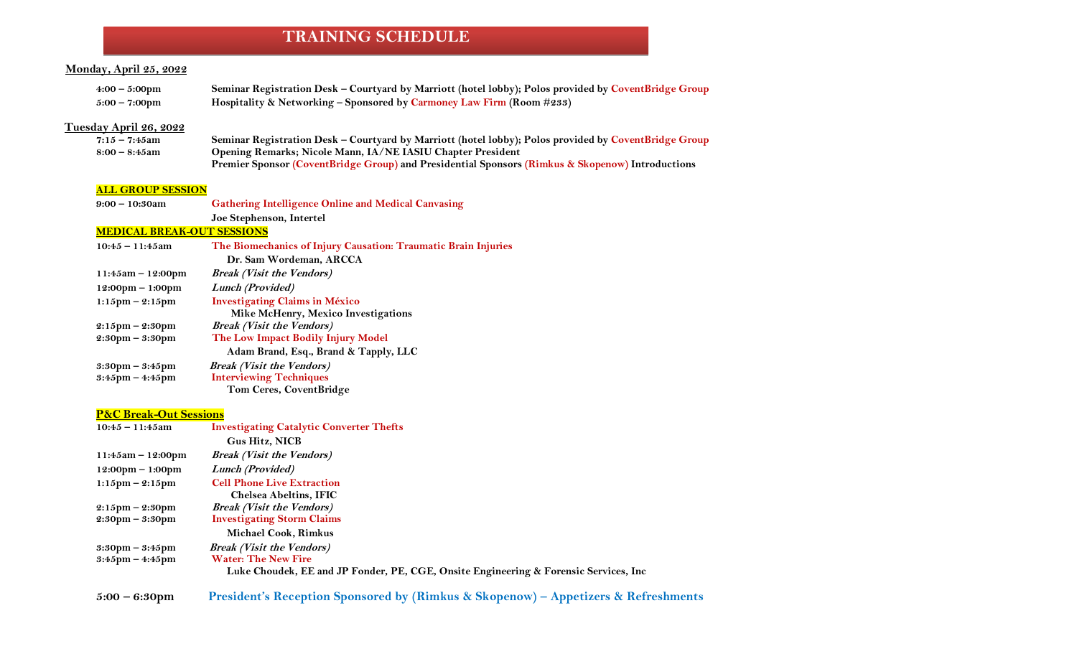# **TRAINING SCHEDULE**

#### **Monday, April 25, 2022**

| $4:00-5:00 \text{pm}$   | Seminar Registration Desk - Courtyard by Marriott (hotel lobby); Polos provided by CoventBridge Group |
|-------------------------|-------------------------------------------------------------------------------------------------------|
| $5:00 - 7:00 \text{pm}$ | Hospitality & Networking – Sponsored by Carmoney Law Firm (Room #233)                                 |

#### **Tuesday April 26, 2022**

| $7:15 - 7:45$ am | Seminar Registration Desk - Courtyard by Marriott (hotel lobby); Polos provided by CoventBridge Group |
|------------------|-------------------------------------------------------------------------------------------------------|
| 8:00 – 8:45am    | Opening Remarks; Nicole Mann, IA/NE IASIU Chapter President                                           |
|                  | Premier Sponsor (CoventBridge Group) and Presidential Sponsors (Rimkus & Skopenow) Introductions      |

#### **ALL GROUP SESSION**

**9:00 – 10:30am Gathering Intelligence Online and Medical Canvasing Joe Stephenson, Intertel**

#### **MEDICAL BREAK-OUT SESSIONS**

#### **P&C Break-Out Sessions**

| $10:45 - 11:45$ am                                                     | <b>Investigating Catalytic Converter Thefts</b>                                                                    |
|------------------------------------------------------------------------|--------------------------------------------------------------------------------------------------------------------|
|                                                                        | <b>Gus Hitz, NICB</b>                                                                                              |
| $11:45am - 12:00pm$                                                    | <i>Break (Visit the Vendors)</i>                                                                                   |
| $12:00 \text{pm} - 1:00 \text{pm}$                                     | Lunch (Provided)                                                                                                   |
| $1:15$ pm – $2:15$ pm                                                  | <b>Cell Phone Live Extraction</b><br><b>Chelsea Abeltins, IFIC</b>                                                 |
| $2:15 \text{pm} - 2:30 \text{pm}$<br>$2:30 \text{pm} - 3:30 \text{pm}$ | <i>Break (Visit the Vendors)</i><br><b>Investigating Storm Claims</b>                                              |
|                                                                        | <b>Michael Cook, Rimkus</b>                                                                                        |
| $3:30 \text{pm} - 3:45 \text{pm}$                                      | <b>Break (Visit the Vendors)</b>                                                                                   |
| $3:45 \text{pm} - 4:45 \text{pm}$                                      | <b>Water: The New Fire</b><br>Luke Choudek, EE and JP Fonder, PE, CGE, Onsite Engineering & Forensic Services, Inc |

**5:00 – 6:30pm President's Reception Sponsored by (Rimkus & Skopenow) – Appetizers & Refreshments**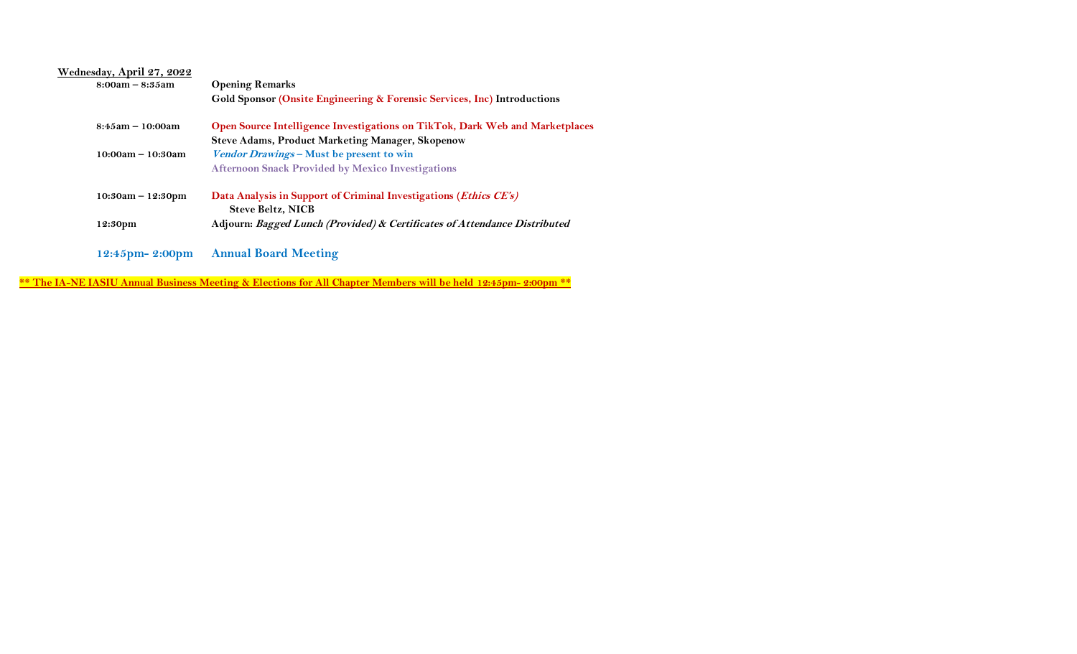| Wednesday, April 27, 2022 |                                                                                               |
|---------------------------|-----------------------------------------------------------------------------------------------|
| $8:00am - 8:35am$         | <b>Opening Remarks</b>                                                                        |
|                           | Gold Sponsor (Onsite Engineering & Forensic Services, Inc) Introductions                      |
| $8:45am - 10:00am$        | Open Source Intelligence Investigations on TikTok, Dark Web and Marketplaces                  |
|                           | <b>Steve Adams, Product Marketing Manager, Skopenow</b>                                       |
| $10:00am - 10:30am$       | Vendor Drawings - Must be present to win                                                      |
|                           | <b>Afternoon Snack Provided by Mexico Investigations</b>                                      |
| $10:30am - 12:30pm$       | Data Analysis in Support of Criminal Investigations (Ethics CE's)<br><b>Steve Beltz, NICB</b> |
| 12:30pm                   | Adjourn: Bagged Lunch (Provided) & Certificates of Attendance Distributed                     |
| 12:45pm-2:00pm            | <b>Annual Board Meeting</b>                                                                   |

**\*\* The IA-NE IASIU Annual Business Meeting & Elections for All Chapter Members will be held 12:45pm- 2:00pm \*\***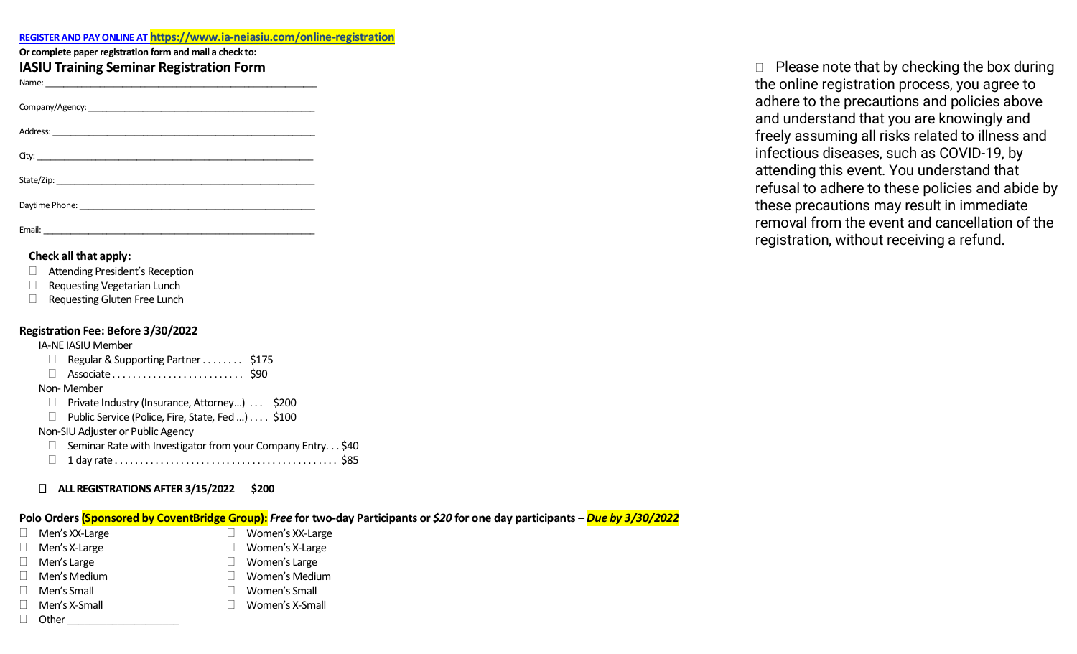| REGISTER AND PAY ONLINE AT https://www.ia-neiasiu.com/online-registration |
|---------------------------------------------------------------------------|
|                                                                           |

| Or complete paper registration form and mail a check to: |  |
|----------------------------------------------------------|--|
|----------------------------------------------------------|--|

| <b>IASIU Training Seminar Registration Form</b> |  |  |  |
|-------------------------------------------------|--|--|--|
|-------------------------------------------------|--|--|--|

| Name: |  |
|-------|--|
|       |  |

Company/Agency:

Address: \_\_\_\_\_\_\_\_\_\_\_\_\_\_\_\_\_\_\_\_\_\_\_\_\_\_\_\_\_\_\_\_\_\_\_\_\_\_\_\_\_\_\_\_\_\_\_\_\_\_\_\_\_\_\_\_\_\_

| City: |  |  |  |
|-------|--|--|--|

| State/Zip: |  |  |  |
|------------|--|--|--|
|            |  |  |  |

Daytime Phone: \_\_\_\_\_\_\_\_\_\_\_\_\_\_\_\_\_\_\_\_\_\_\_\_\_\_\_\_\_\_\_\_\_\_\_\_\_\_\_\_\_\_\_\_\_\_\_\_\_\_\_\_

Email: \_\_\_\_\_\_\_\_\_\_\_\_\_\_\_\_\_\_\_\_\_\_\_\_\_\_\_\_\_\_\_\_\_\_\_\_\_\_\_\_\_\_\_\_\_\_\_\_\_\_\_\_\_\_\_\_\_\_\_\_

#### **Check all that apply:**

- Attending President's Reception
- Requesting Vegetarian Lunch
- □ Requesting Gluten Free Lunch

#### **Registration Fee: Before 3/30/2022**

#### IA-NE IASIU Member

 $\Box$  Regular & Supporting Partner . . . . . . . . \$175 Associate . . . . . . . . . . . . . . . . . . . . . . . . . . \$90

#### Non- Member

- □ Private Industry (Insurance, Attorney...) . . . \$200
- □ Public Service (Police, Fire, State, Fed ...) . . . . \$100

Non-SIU Adjuster or Public Agency

- $\Box$  Seminar Rate with Investigator from your Company Entry... \$40
- 1 day rate . . . . . . . . . . . . . . . . . . . . . . . . . . . . . . . . . . . . . . . . . . . . \$85

# **ALL REGISTRATIONS AFTER 3/15/2022 \$200**

# **Polo Orders (Sponsored by CoventBridge Group):** *Free* **for two-day Participants or** *\$20* **for one day participants –** *Due by 3/30/2022*

- $\Box$  Men's XX-Large  $\Box$  Women's XX-Large
- Men's X-Large The Contract Contract Contract Contract Contract Contract Contract Contract Contract Contract Co
- □ Men's Large Unit and Women's Large
- Men's Medium  $\Box$  Women's Medium
- Men's Small **Women's Small**
- Men's X-Small Women's X-Small
- $\Box$  Other

 $\Box$  Please note that by checking the box during the online registration process, you agree to adhere to the precautions and policies above and understand that you are knowingly and freely assuming all risks related to illness and infectious diseases, such as COVID-19, by attending this event. You understand that refusal to adhere to these policies and abide by these precautions may result in immediate removal from the event and cancellation of the registration, without receiving a refund.